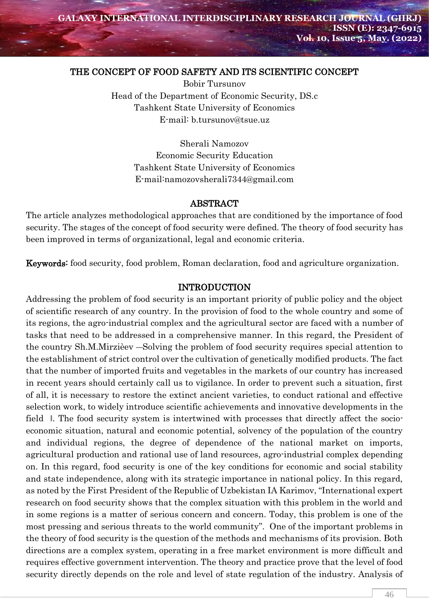## THE CONCEPT OF FOOD SAFETY AND ITS SCIENTIFIC CONCEPT

Bobir Tursunov Head of the Department of Economic Security, DS.c Tashkent State University of Economics E-mail: [b.tursunov@tsue.uz](mailto:b.tursunov@tsue.uz)

> Sherali Namozov Economic Security Education Tashkent State University of Economics E-mail:namozovsherali7344@gmail.com

#### ABSTRACT

The article analyzes methodological approaches that are conditioned by the importance of food security. The stages of the concept of food security were defined. The theory of food security has been improved in terms of organizational, legal and economic criteria.

Keywords: food security, food problem, Roman declaration, food and agriculture organization.

## INTRODUCTION

Addressing the problem of food security is an important priority of public policy and the object of scientific research of any country. In the provision of food to the whole country and some of its regions, the agro-industrial complex and the agricultural sector are faced with a number of tasks that need to be addressed in a comprehensive manner. In this regard, the President of the country Sh.M.Mirzièev ―Solving the problem of food security requires special attention to the establishment of strict control over the cultivation of genetically modified products. The fact that the number of imported fruits and vegetables in the markets of our country has increased in recent years should certainly call us to vigilance. In order to prevent such a situation, first of all, it is necessary to restore the extinct ancient varieties, to conduct rational and effective selection work, to widely introduce scientific achievements and innovative developments in the field ‖. The food security system is intertwined with processes that directly affect the socioeconomic situation, natural and economic potential, solvency of the population of the country and individual regions, the degree of dependence of the national market on imports, agricultural production and rational use of land resources, agro-industrial complex depending on. In this regard, food security is one of the key conditions for economic and social stability and state independence, along with its strategic importance in national policy. In this regard, as noted by the First President of the Republic of Uzbekistan IA Karimov, "International expert research on food security shows that the complex situation with this problem in the world and in some regions is a matter of serious concern and concern. Today, this problem is one of the most pressing and serious threats to the world community''. One of the important problems in the theory of food security is the question of the methods and mechanisms of its provision. Both directions are a complex system, operating in a free market environment is more difficult and requires effective government intervention. The theory and practice prove that the level of food security directly depends on the role and level of state regulation of the industry. Analysis of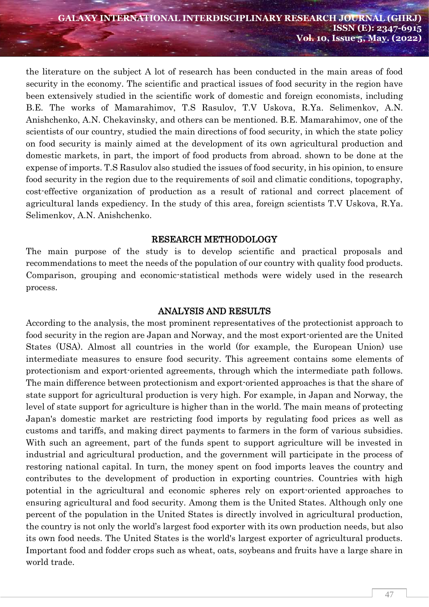the literature on the subject A lot of research has been conducted in the main areas of food security in the economy. The scientific and practical issues of food security in the region have been extensively studied in the scientific work of domestic and foreign economists, including B.E. The works of Mamarahimov, T.S Rasulov, T.V Uskova, R.Ya. Selimenkov, A.N. Anishchenko, A.N. Chekavinsky, and others can be mentioned. B.E. Mamarahimov, one of the scientists of our country, studied the main directions of food security, in which the state policy on food security is mainly aimed at the development of its own agricultural production and domestic markets, in part, the import of food products from abroad. shown to be done at the expense of imports. T.S Rasulov also studied the issues of food security, in his opinion, to ensure food security in the region due to the requirements of soil and climatic conditions, topography, cost-effective organization of production as a result of rational and correct placement of agricultural lands expediency. In the study of this area, foreign scientists T.V Uskova, R.Ya. Selimenkov, A.N. Anishchenko.

## RESEARCH METHODOLOGY

The main purpose of the study is to develop scientific and practical proposals and recommendations to meet the needs of the population of our country with quality food products. Comparison, grouping and economic-statistical methods were widely used in the research process.

#### ANALYSIS AND RESULTS

According to the analysis, the most prominent representatives of the protectionist approach to food security in the region are Japan and Norway, and the most export-oriented are the United States (USA). Almost all countries in the world (for example, the European Union) use intermediate measures to ensure food security. This agreement contains some elements of protectionism and export-oriented agreements, through which the intermediate path follows. The main difference between protectionism and export-oriented approaches is that the share of state support for agricultural production is very high. For example, in Japan and Norway, the level of state support for agriculture is higher than in the world. The main means of protecting Japan's domestic market are restricting food imports by regulating food prices as well as customs and tariffs, and making direct payments to farmers in the form of various subsidies. With such an agreement, part of the funds spent to support agriculture will be invested in industrial and agricultural production, and the government will participate in the process of restoring national capital. In turn, the money spent on food imports leaves the country and contributes to the development of production in exporting countries. Countries with high potential in the agricultural and economic spheres rely on export-oriented approaches to ensuring agricultural and food security. Among them is the United States. Although only one percent of the population in the United States is directly involved in agricultural production, the country is not only the world's largest food exporter with its own production needs, but also its own food needs. The United States is the world's largest exporter of agricultural products. Important food and fodder crops such as wheat, oats, soybeans and fruits have a large share in world trade.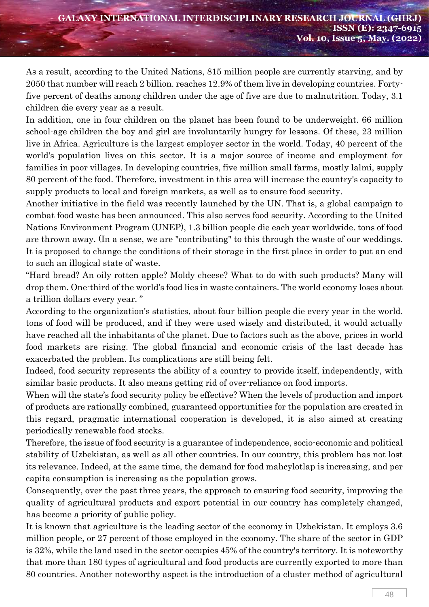As a result, according to the United Nations, 815 million people are currently starving, and by 2050 that number will reach 2 billion. reaches 12.9% of them live in developing countries. Fortyfive percent of deaths among children under the age of five are due to malnutrition. Today, 3.1 children die every year as a result.

In addition, one in four children on the planet has been found to be underweight. 66 million school-age children the boy and girl are involuntarily hungry for lessons. Of these, 23 million live in Africa. Agriculture is the largest employer sector in the world. Today, 40 percent of the world's population lives on this sector. It is a major source of income and employment for families in poor villages. In developing countries, five million small farms, mostly lalmi, supply 80 percent of the food. Therefore, investment in this area will increase the country's capacity to supply products to local and foreign markets, as well as to ensure food security.

Another initiative in the field was recently launched by the UN. That is, a global campaign to combat food waste has been announced. This also serves food security. According to the United Nations Environment Program (UNEP), 1.3 billion people die each year worldwide. tons of food are thrown away. (In a sense, we are "contributing" to this through the waste of our weddings. It is proposed to change the conditions of their storage in the first place in order to put an end to such an illogical state of waste.

"Hard bread? An oily rotten apple? Moldy cheese? What to do with such products? Many will drop them. One-third of the world's food lies in waste containers. The world economy loses about a trillion dollars every year. "

According to the organization's statistics, about four billion people die every year in the world. tons of food will be produced, and if they were used wisely and distributed, it would actually have reached all the inhabitants of the planet. Due to factors such as the above, prices in world food markets are rising. The global financial and economic crisis of the last decade has exacerbated the problem. Its complications are still being felt.

Indeed, food security represents the ability of a country to provide itself, independently, with similar basic products. It also means getting rid of over-reliance on food imports.

When will the state's food security policy be effective? When the levels of production and import of products are rationally combined, guaranteed opportunities for the population are created in this regard, pragmatic international cooperation is developed, it is also aimed at creating periodically renewable food stocks.

Therefore, the issue of food security is a guarantee of independence, socio-economic and political stability of Uzbekistan, as well as all other countries. In our country, this problem has not lost its relevance. Indeed, at the same time, the demand for food mahcylotlap is increasing, and per capita consumption is increasing as the population grows.

Consequently, over the past three years, the approach to ensuring food security, improving the quality of agricultural products and export potential in our country has completely changed, has become a priority of public policy.

It is known that agriculture is the leading sector of the economy in Uzbekistan. It employs 3.6 million people, or 27 percent of those employed in the economy. The share of the sector in GDP is 32%, while the land used in the sector occupies 45% of the country's territory. It is noteworthy that more than 180 types of agricultural and food products are currently exported to more than 80 countries. Another noteworthy aspect is the introduction of a cluster method of agricultural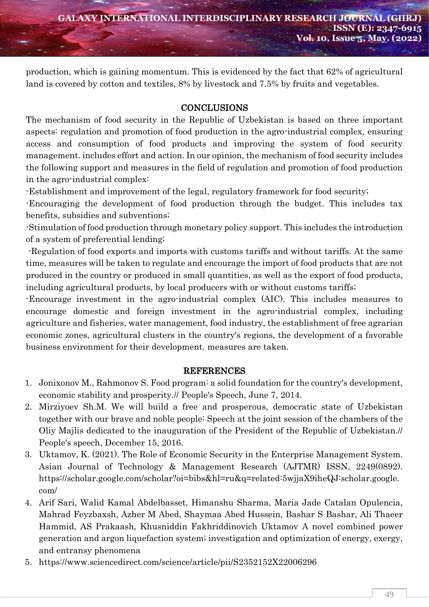production, which is gaining momentum. This is evidenced by the fact that 62% of agricultural land is covered by cotton and textiles, 8% by livestock and 7.5% by fruits and vegetables.

# **CONCLUSIONS**

The mechanism of food security in the Republic of Uzbekistan is based on three important aspects: regulation and promotion of food production in the agro-industrial complex, ensuring access and consumption of food products and improving the system of food security management. includes effort and action. In our opinion, the mechanism of food security includes the following support and measures in the field of regulation and promotion of food production in the agro-industrial complex:

-Establishment and improvement of the legal, regulatory framework for food security;

-Encouraging the development of food production through the budget. This includes tax benefits, subsidies and subventions;

-Stimulation of food production through monetary policy support. This includes the introduction of a system of preferential lending;

-Regulation of food exports and imports with customs tariffs and without tariffs. At the same time, measures will be taken to regulate and encourage the import of food products that are not produced in the country or produced in small quantities, as well as the export of food products, including agricultural products, by local producers with or without customs tariffs;

-Encourage investment in the agro-industrial complex (AIC). This includes measures to encourage domestic and foreign investment in the agro-industrial complex, including agriculture and fisheries, water management, food industry, the establishment of free agrarian economic zones, agricultural clusters in the country's regions, the development of a favorable business environment for their development. measures are taken.

## REFERENCES

- 1. Jonixonov M., Rahmonov S. Food program: a solid foundation for the country's development, economic stability and prosperity.// People's Speech, June 7, 2014.
- 2. Mirziyoev Sh.M. We will build a free and prosperous, democratic state of Uzbekistan together with our brave and noble people: Speech at the joint session of the chambers of the Oliy Majlis dedicated to the inauguration of the President of the Republic of Uzbekistan.// People's speech, December 15, 2016.
- 3. Uktamov, K. (2021). The Role of Economic Security in the Enterprise Management System. Asian Journal of Technology & Management Research (AJTMR) ISSN, 2249(0892). https://scholar.google.com/scholar?oi=bibs&hl=ru&q=related:5wjjaX9iheQJ:scholar.google. com/
- 4. Arif Sari, Walid Kamal Abdelbasset, Himanshu Sharma, Maria Jade Catalan Opulencia, Mahrad Feyzbaxsh, Azher M Abed, Shaymaa Abed Hussein, Bashar S Bashar, Ali Thaeer Hammid, AS Prakaash, Khusniddin Fakhriddinovich Uktamov [A novel combined power](https://scholar.google.com/scholar?oi=bibs&cluster=1724590140399799009&btnI=1&hl=ru)  [generation and argon liquefaction system; investigation and optimization of energy, exergy,](https://scholar.google.com/scholar?oi=bibs&cluster=1724590140399799009&btnI=1&hl=ru)  [and entransy phenomena](https://scholar.google.com/scholar?oi=bibs&cluster=1724590140399799009&btnI=1&hl=ru)
- 5. <https://www.sciencedirect.com/science/article/pii/S2352152X22006296>